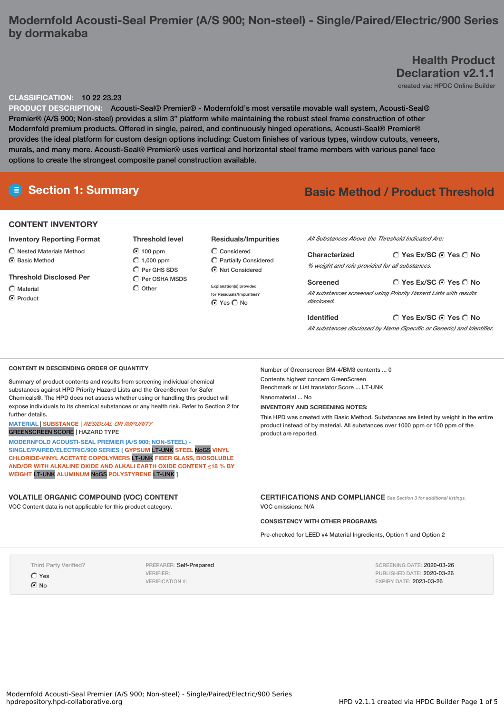## **Modernfold Acousti-Seal Premier (A/S 900; Non-steel) - Single/Paired/Electric/900 Series by dormakaba**

# **Health Product Declaration v2.1.1**

created via: HPDC Online Builder

## **CLASSIFICATION:** 10 22 23.23

**PRODUCT DESCRIPTION:** Acousti-Seal® Premier® - Modernfold's most versatile movable wall system, Acousti-Seal® Premier® (A/S 900; Non-steel) provides a slim 3" platform while maintaining the robust steel frame construction of other Modernfold premium products. Offered in single, paired, and continuously hinged operations, Acousti-Seal® Premier® provides the ideal platform for custom design options including: Custom finishes of various types, window cutouts, veneers, murals, and many more. Acousti-Seal® Premier® uses vertical and horizontal steel frame members with various panel face options to create the strongest composite panel construction available.

# **Section 1: Summary Basic Method / Product Threshold**

### **CONTENT INVENTORY**

- **Inventory Reporting Format**
- $\bigcap$  Nested Materials Method
- C Basic Method

## **Threshold Disclosed Per**

Material C Product **Threshold level** 100 ppm  $\bigcirc$  1,000 ppm C Per GHS SDS  $\bigcap$  Per OSHA MSDS  $\bigcirc$  Other

## **Residuals/Impurities**

Considered  $\widehat{\mathbb{C}}$  Partially Considered Not Considered

> **Explanation(s) provided for Residuals/Impurities?** O Yes O No

#### *All Substances Above the Threshold Indicated Are:*

| Characterized                                  | ○ Yes Ex/SC ⊙ Yes ○ No |  |  |  |
|------------------------------------------------|------------------------|--|--|--|
| % weight and role provided for all substances. |                        |  |  |  |
|                                                |                        |  |  |  |
| Screened                                       | ○ Yes Ex/SC ⊙ Yes ○ No |  |  |  |

**Yes Ex/SC Yes No Identified** *All substances disclosed by Name (Specific or Generic) and Identifier.*

#### **CONTENT IN DESCENDING ORDER OF QUANTITY**

Summary of product contents and results from screening individual chemical substances against HPD Priority Hazard Lists and the GreenScreen for Safer Chemicals®. The HPD does not assess whether using or handling this product will expose individuals to its chemical substances or any health risk. Refer to Section 2 for further details.

#### **MATERIAL** | **SUBSTANCE** | *RESIDUAL OR IMPURITY* GREENSCREEN SCORE | HAZARD TYPE

**MODERNFOLD ACOUSTI-SEAL PREMIER (A/S 900; NON-STEEL) - SINGLE/PAIRED/ELECTRIC/900 SERIES [ GYPSUM** LT-UNK **STEEL** NoGS **VINYL CHLORIDE-VINYL ACETATE COPOLYMERS** LT-UNK **FIBER GLASS, BIOSOLUBLE AND/OR WITH ALKALINE OXIDE AND ALKALI EARTH OXIDE CONTENT ≤18 % BY WEIGHT** LT-UNK **ALUMINUM** NoGS **POLYSTYRENE** LT-UNK **]**

## **VOLATILE ORGANIC COMPOUND (VOC) CONTENT**

VOC Content data is not applicable for this product category.

Number of Greenscreen BM-4/BM3 contents ... 0 Contents highest concern GreenScreen Benchmark or List translator Score ... LT-UNK

Nanomaterial No.

## **INVENTORY AND SCREENING NOTES:**

This HPD was created with Basic Method. Substances are listed by weight in the entire product instead of by material. All substances over 1000 ppm or 100 ppm of the product are reported.

**CERTIFICATIONS AND COMPLIANCE** *See Section <sup>3</sup> for additional listings.* VOC emissions: N/A

## **CONSISTENCY WITH OTHER PROGRAMS**

Pre-checked for LEED v4 Material Ingredients, Option 1 and Option 2

Third Party Verified?

O Yes  $\Omega$  No

PREPARER: Self-Prepared VERIFIER: VERIFICATION #:

SCREENING DATE: 2020-03-26 PUBLISHED DATE: 2020-03-26 EXPIRY DATE: 2023-03-26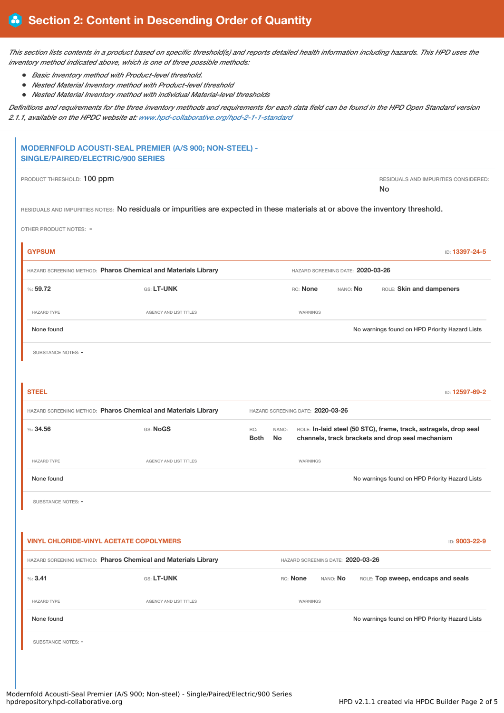This section lists contents in a product based on specific threshold(s) and reports detailed health information including hazards. This HPD uses the *inventory method indicated above, which is one of three possible methods:*

- *Basic Inventory method with Product-level threshold.*
- $\bullet$ *Nested Material Inventory method with Product-level threshold*
- $\bullet$ *Nested Material Inventory method with individual Material-level thresholds*

Definitions and requirements for the three inventory methods and requirements for each data field can be found in the HPD Open Standard version *2.1.1, available on the HPDC website at: [www.hpd-collaborative.org/hpd-2-1-1-standard](https://www.hpd-collaborative.org/hpd-2-1-1-standard)*

|                                                                | <b>SINGLE/PAIRED/ELECTRIC/900 SERIES</b> | MODERNFOLD ACOUSTI-SEAL PREMIER (A/S 900; NON-STEEL) -                                                                          |                                   |                                   |          |          |  |                                                                                                                      |
|----------------------------------------------------------------|------------------------------------------|---------------------------------------------------------------------------------------------------------------------------------|-----------------------------------|-----------------------------------|----------|----------|--|----------------------------------------------------------------------------------------------------------------------|
|                                                                | PRODUCT THRESHOLD: 100 ppm               |                                                                                                                                 |                                   |                                   |          |          |  | RESIDUALS AND IMPURITIES CONSIDERED:<br>No                                                                           |
|                                                                |                                          | RESIDUALS AND IMPURITIES NOTES: No residuals or impurities are expected in these materials at or above the inventory threshold. |                                   |                                   |          |          |  |                                                                                                                      |
|                                                                | OTHER PRODUCT NOTES: -                   |                                                                                                                                 |                                   |                                   |          |          |  |                                                                                                                      |
|                                                                | <b>GYPSUM</b>                            |                                                                                                                                 |                                   |                                   |          |          |  | ID: 13397-24-5                                                                                                       |
|                                                                |                                          | HAZARD SCREENING METHOD: Pharos Chemical and Materials Library                                                                  |                                   | HAZARD SCREENING DATE: 2020-03-26 |          |          |  |                                                                                                                      |
|                                                                | %:59.72                                  | GS: LT-UNK                                                                                                                      |                                   |                                   | RC: None | NANO: No |  | ROLE: Skin and dampeners                                                                                             |
|                                                                | <b>HAZARD TYPE</b>                       | AGENCY AND LIST TITLES                                                                                                          |                                   |                                   | WARNINGS |          |  |                                                                                                                      |
|                                                                | None found                               |                                                                                                                                 |                                   |                                   |          |          |  | No warnings found on HPD Priority Hazard Lists                                                                       |
|                                                                | SUBSTANCE NOTES: -                       |                                                                                                                                 |                                   |                                   |          |          |  |                                                                                                                      |
|                                                                |                                          |                                                                                                                                 |                                   |                                   |          |          |  |                                                                                                                      |
|                                                                | <b>STEEL</b>                             |                                                                                                                                 |                                   |                                   |          |          |  | ID: 12597-69-2                                                                                                       |
| HAZARD SCREENING METHOD: Pharos Chemical and Materials Library |                                          |                                                                                                                                 | HAZARD SCREENING DATE: 2020-03-26 |                                   |          |          |  |                                                                                                                      |
|                                                                | %34.56                                   | GS: NoGS                                                                                                                        | RC:<br><b>Both</b>                | NANO:<br>No.                      |          |          |  | ROLE: In-laid steel (50 STC), frame, track, astragals, drop seal<br>channels, track brackets and drop seal mechanism |
|                                                                | <b>HAZARD TYPE</b>                       | <b>AGENCY AND LIST TITLES</b>                                                                                                   |                                   |                                   | WARNINGS |          |  |                                                                                                                      |
|                                                                | None found                               |                                                                                                                                 |                                   |                                   |          |          |  | No warnings found on HPD Priority Hazard Lists                                                                       |
|                                                                | <b>SUBSTANCE NOTES: -</b>                |                                                                                                                                 |                                   |                                   |          |          |  |                                                                                                                      |
|                                                                |                                          |                                                                                                                                 |                                   |                                   |          |          |  |                                                                                                                      |
|                                                                |                                          | <b>VINYL CHLORIDE-VINYL ACETATE COPOLYMERS</b>                                                                                  |                                   |                                   |          |          |  | ID: 9003-22-9                                                                                                        |
| HAZARD SCREENING METHOD: Pharos Chemical and Materials Library |                                          |                                                                                                                                 | HAZARD SCREENING DATE: 2020-03-26 |                                   |          |          |  |                                                                                                                      |
|                                                                | %3.41                                    | GS: LT-UNK                                                                                                                      |                                   |                                   | RC: None | NANO: No |  | ROLE: Top sweep, endcaps and seals                                                                                   |
|                                                                | <b>HAZARD TYPE</b>                       | AGENCY AND LIST TITLES                                                                                                          |                                   |                                   | WARNINGS |          |  |                                                                                                                      |
|                                                                | None found                               |                                                                                                                                 |                                   |                                   |          |          |  | No warnings found on HPD Priority Hazard Lists                                                                       |
|                                                                | SUBSTANCE NOTES: -                       |                                                                                                                                 |                                   |                                   |          |          |  |                                                                                                                      |
|                                                                |                                          |                                                                                                                                 |                                   |                                   |          |          |  |                                                                                                                      |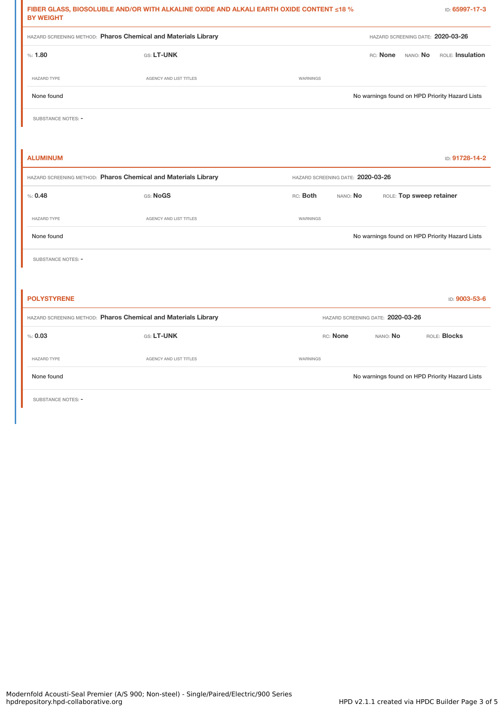| <b>BY WEIGHT</b>   | FIBER GLASS, BIOSOLUBLE AND/OR WITH ALKALINE OXIDE AND ALKALI EARTH OXIDE CONTENT ≤18 $\%$ | ID: 65997-17-3                                   |
|--------------------|--------------------------------------------------------------------------------------------|--------------------------------------------------|
|                    | HAZARD SCREENING METHOD: Pharos Chemical and Materials Library                             | HAZARD SCREENING DATE: 2020-03-26                |
| %: 1.80            | GS: LT-UNK                                                                                 | RC: None<br>NANO: No<br>ROLE: Insulation         |
| <b>HAZARD TYPE</b> | AGENCY AND LIST TITLES                                                                     | WARNINGS                                         |
| None found         |                                                                                            | No warnings found on HPD Priority Hazard Lists   |
| SUBSTANCE NOTES: - |                                                                                            |                                                  |
|                    |                                                                                            |                                                  |
| <b>ALUMINUM</b>    |                                                                                            | ID: 91728-14-2                                   |
|                    | HAZARD SCREENING METHOD: Pharos Chemical and Materials Library                             | HAZARD SCREENING DATE: 2020-03-26                |
| % 0.48             | GS: NoGS                                                                                   | RC: Both<br>NANO: No<br>ROLE: Top sweep retainer |
| <b>HAZARD TYPE</b> | AGENCY AND LIST TITLES                                                                     | WARNINGS                                         |
| None found         |                                                                                            | No warnings found on HPD Priority Hazard Lists   |
| SUBSTANCE NOTES: - |                                                                                            |                                                  |
|                    |                                                                                            |                                                  |
| <b>POLYSTYRENE</b> |                                                                                            | ID: 9003-53-6                                    |
|                    | HAZARD SCREENING METHOD: Pharos Chemical and Materials Library                             | HAZARD SCREENING DATE: 2020-03-26                |
| % 0.03             | GS: LT-UNK                                                                                 | ROLE: Blocks<br>RC: None<br>NANO: No             |
| <b>HAZARD TYPE</b> | AGENCY AND LIST TITLES                                                                     | WARNINGS                                         |
| None found         |                                                                                            | No warnings found on HPD Priority Hazard Lists   |
|                    |                                                                                            |                                                  |

SUBSTANCE NOTES: -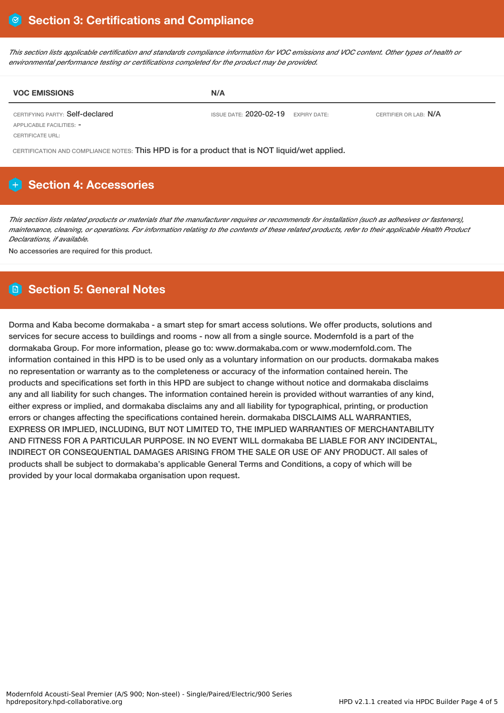This section lists applicable certification and standards compliance information for VOC emissions and VOC content. Other types of health or *environmental performance testing or certifications completed for the product may be provided.*

| <b>VOC EMISSIONS</b>            | N/A                                       |                       |
|---------------------------------|-------------------------------------------|-----------------------|
| CERTIFYING PARTY: Self-declared | ISSUE DATE: $2020 - 02 - 19$ expiry date: | CERTIFIER OR LAB: N/A |
| APPLICABLE FACILITIES: -        |                                           |                       |

CERTIFICATE URL:

CERTIFICATION AND COMPLIANCE NOTES: This HPD is for a product that is NOT liquid/wet applied.

# **Section 4: Accessories**

This section lists related products or materials that the manufacturer requires or recommends for installation (such as adhesives or fasteners), maintenance, cleaning, or operations. For information relating to the contents of these related products, refer to their applicable Health Product *Declarations, if available.*

No accessories are required for this product.

# **Section 5: General Notes**

Dorma and Kaba become dormakaba - a smart step for smart access solutions. We offer products, solutions and services for secure access to buildings and rooms - now all from a single source. Modernfold is a part of the dormakaba Group. For more information, please go to: www.dormakaba.com or www.modernfold.com. The information contained in this HPD is to be used only as a voluntary information on our products. dormakaba makes no representation or warranty as to the completeness or accuracy of the information contained herein. The products and specifications set forth in this HPD are subject to change without notice and dormakaba disclaims any and all liability for such changes. The information contained herein is provided without warranties of any kind, either express or implied, and dormakaba disclaims any and all liability for typographical, printing, or production errors or changes affecting the specifications contained herein. dormakaba DISCLAIMS ALL WARRANTIES, EXPRESS OR IMPLIED, INCLUDING, BUT NOT LIMITED TO, THE IMPLIED WARRANTIES OF MERCHANTABILITY AND FITNESS FOR A PARTICULAR PURPOSE. IN NO EVENT WILL dormakaba BE LIABLE FOR ANY INCIDENTAL, INDIRECT OR CONSEQUENTIAL DAMAGES ARISING FROM THE SALE OR USE OF ANY PRODUCT. All sales of products shall be subject to dormakaba's applicable General Terms and Conditions, a copy of which will be provided by your local dormakaba organisation upon request.